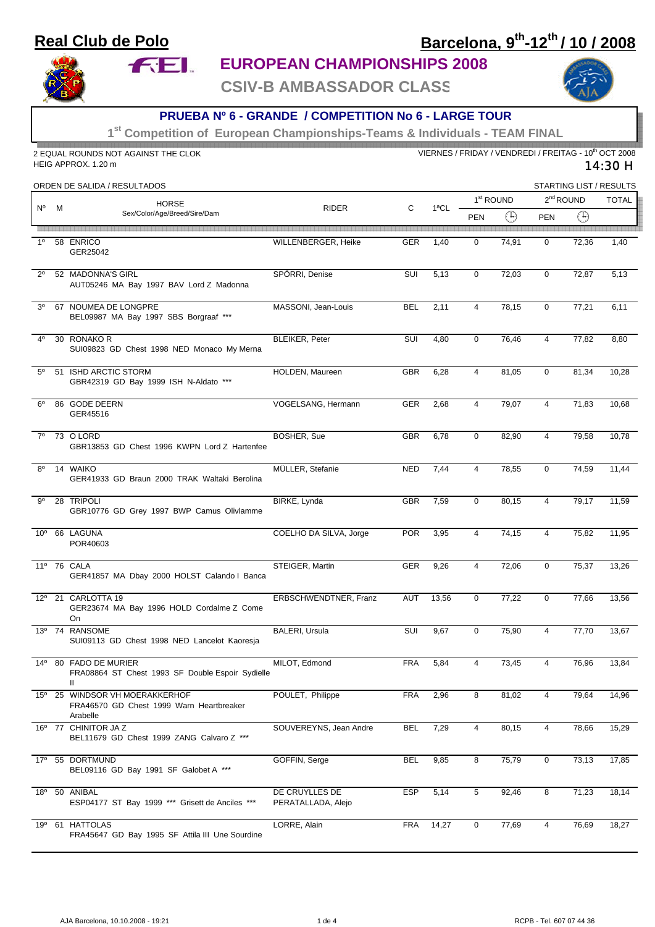## **Real Club de Polo**

**FEL** 

# **Barcelona, 9th-12th / 10 / 2008**



### **EUROPEAN CHAMPIONSHIPS 2008**

**CSIV-B AMBASSADOR CLASS**



#### **PRUEBA Nº 6 - GRANDE / COMPETITION No 6 - LARGE TOUR**

**1st Competition of European Championships-Teams & Individuals - TEAM FINAL**

| 2 EQUAL ROUNDS NOT AGAINST THE CLOK<br>HEIG APPROX. 1.20 m |   |                                                                                        |                                      |            | VIERNES / FRIDAY / VENDREDI / FREITAG - 10 <sup>th</sup> OCT 2008<br>14:30 H |                       |             |                |             |                         |  |  |
|------------------------------------------------------------|---|----------------------------------------------------------------------------------------|--------------------------------------|------------|------------------------------------------------------------------------------|-----------------------|-------------|----------------|-------------|-------------------------|--|--|
|                                                            |   | ORDEN DE SALIDA / RESULTADOS                                                           |                                      |            |                                                                              |                       |             |                |             | STARTING LIST / RESULTS |  |  |
| N°                                                         | M | <b>HORSE</b><br>Sex/Color/Age/Breed/Sire/Dam                                           | <b>RIDER</b>                         | С          | 1ªCL                                                                         | 1 <sup>st</sup> ROUND |             | $2nd$ ROUND    |             | <b>TOTAL</b>            |  |  |
|                                                            |   |                                                                                        |                                      |            |                                                                              | <b>PEN</b>            | $\bigoplus$ | <b>PEN</b>     | $\bigoplus$ |                         |  |  |
| 10                                                         |   | 58 ENRICO<br>GER25042                                                                  | WILLENBERGER, Heike                  | GER        | 1,40                                                                         | $\mathbf 0$           | 74,91       | $\mathbf 0$    | 72,36       | 1,40                    |  |  |
| $2^{\circ}$                                                |   | 52 MADONNA'S GIRL<br>AUT05246 MA Bay 1997 BAV Lord Z Madonna                           | SPÖRRI, Denise                       | SUI        | 5,13                                                                         | $\mathbf 0$           | 72,03       | $\mathbf 0$    | 72,87       | 5,13                    |  |  |
| 3 <sup>0</sup>                                             |   | 67 NOUMEA DE LONGPRE<br>BEL09987 MA Bay 1997 SBS Borgraaf ***                          | MASSONI, Jean-Louis                  | <b>BEL</b> | 2,11                                                                         | $\overline{4}$        | 78,15       | $\mathbf 0$    | 77,21       | 6,11                    |  |  |
| 40                                                         |   | 30 RONAKO R<br>SUI09823 GD Chest 1998 NED Monaco My Merna                              | <b>BLEIKER, Peter</b>                | SUI        | 4,80                                                                         | 0                     | 76,46       | $\overline{4}$ | 77,82       | 8,80                    |  |  |
| $5^{\circ}$                                                |   | 51 ISHD ARCTIC STORM<br>GBR42319 GD Bay 1999 ISH N-Aldato ***                          | HOLDEN, Maureen                      | <b>GBR</b> | 6,28                                                                         | $\overline{4}$        | 81,05       | $\mathbf 0$    | 81,34       | 10,28                   |  |  |
| $6^{\circ}$                                                |   | 86 GODE DEERN<br>GER45516                                                              | VOGELSANG, Hermann                   | GER        | 2,68                                                                         | $\overline{4}$        | 79,07       | 4              | 71,83       | 10,68                   |  |  |
| $7^\circ$                                                  |   | 73 O LORD<br>GBR13853 GD Chest 1996 KWPN Lord Z Hartenfee                              | <b>BOSHER, Sue</b>                   | <b>GBR</b> | 6,78                                                                         | 0                     | 82,90       | 4              | 79,58       | 10,78                   |  |  |
| $8^{\circ}$                                                |   | 14 WAIKO<br>GER41933 GD Braun 2000 TRAK Waltaki Berolina                               | MÜLLER, Stefanie                     | <b>NED</b> | 7,44                                                                         | $\overline{4}$        | 78,55       | $\mathbf 0$    | 74,59       | 11,44                   |  |  |
| 9°                                                         |   | 28 TRIPOLI<br>GBR10776 GD Grey 1997 BWP Camus Olivlamme                                | BIRKE, Lynda                         | <b>GBR</b> | 7,59                                                                         | $\mathbf 0$           | 80,15       | $\overline{4}$ | 79,17       | 11,59                   |  |  |
| 10 <sup>o</sup>                                            |   | 66 LAGUNA<br>POR40603                                                                  | COELHO DA SILVA, Jorge               | <b>POR</b> | 3,95                                                                         | $\overline{4}$        | 74,15       | 4              | 75,82       | 11,95                   |  |  |
|                                                            |   | 11º 76 CALA<br>GER41857 MA Dbay 2000 HOLST Calando I Banca                             | STEIGER, Martin                      | GER        | 9,26                                                                         | $\overline{4}$        | 72,06       | $\mathbf 0$    | 75,37       | 13,26                   |  |  |
|                                                            |   | 12º 21 CARLOTTA 19<br>GER23674 MA Bay 1996 HOLD Cordalme Z Come<br>On                  | ERBSCHWENDTNER, Franz                | <b>AUT</b> | 13,56                                                                        | $\mathbf 0$           | 77,22       | $\mathbf 0$    | 77,66       | 13,56                   |  |  |
|                                                            |   | 13º 74 RANSOME<br>SUI09113 GD Chest 1998 NED Lancelot Kaoresja                         | BALERI, Ursula                       | SUI        | 9,67                                                                         | 0                     | 75,90       | 4              | 77,70       | 13,67                   |  |  |
| $14^{\circ}$                                               |   | 80 FADO DE MURIER<br>FRA08864 ST Chest 1993 SF Double Espoir Sydielle<br>Ш             | MILOT, Edmond                        | <b>FRA</b> | 5,84                                                                         | 4                     | 73,45       | 4              | 76,96       | 13,84                   |  |  |
|                                                            |   | 15º 25 WINDSOR VH MOERAKKERHOF<br>FRA46570 GD Chest 1999 Warn Heartbreaker<br>Arabelle | POULET, Philippe                     | <b>FRA</b> | 2,96                                                                         | 8                     | 81,02       | 4              | 79,64       | 14,96                   |  |  |
|                                                            |   | 16° 77 CHINITOR JA Z<br>BEL11679 GD Chest 1999 ZANG Calvaro Z ***                      | SOUVEREYNS, Jean Andre               | <b>BEL</b> | 7,29                                                                         | 4                     | 80,15       | 4              | 78,66       | 15,29                   |  |  |
|                                                            |   | 17º 55 DORTMUND<br>BEL09116 GD Bay 1991 SF Galobet A ***                               | GOFFIN, Serge                        | BEL        | 9,85                                                                         | 8                     | 75,79       | 0              | 73,13       | 17,85                   |  |  |
| 18 <sup>o</sup>                                            |   | 50 ANIBAL<br>ESP04177 ST Bay 1999 *** Grisett de Anciles<br>$***$                      | DE CRUYLLES DE<br>PERATALLADA, Alejo | <b>ESP</b> | 5,14                                                                         | 5                     | 92,46       | 8              | 71,23       | 18,14                   |  |  |
|                                                            |   | 19º 61 HATTOLAS<br>FRA45647 GD Bay 1995 SF Attila III Une Sourdine                     | LORRE, Alain                         | FRA        | 14,27                                                                        | $\mathbf 0$           | 77,69       | 4              | 76,69       | 18,27                   |  |  |